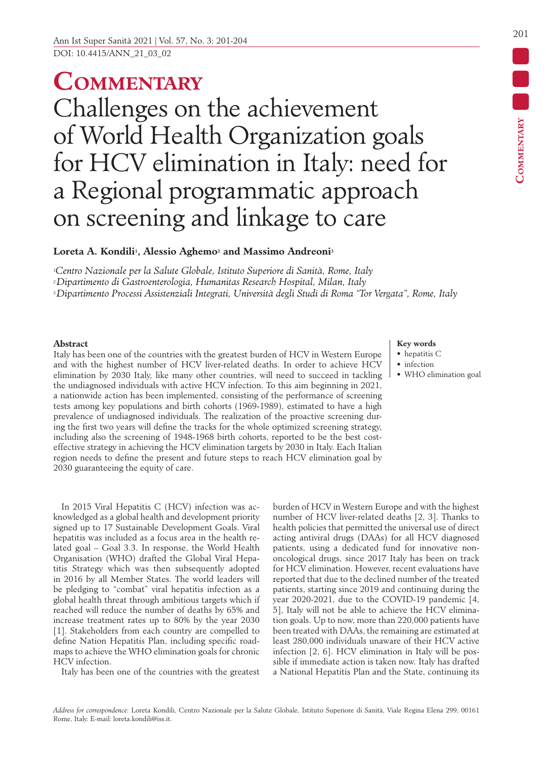# **Commentary** Challenges on the achievement of World Health Organization goals for HCV elimination in Italy: need for a Regional programmatic approach on screening and linkage to care

## Loreta A. Kondili<sup>1</sup>, Alessio Aghemo<sup>2</sup> and Massimo Andreoni<sup>3</sup>

*1Centro Nazionale per la Salute Globale, Istituto Superiore di Sanità, Rome, Italy* 

*2 Dipartimento di Gastroenterologia, Humanitas Research Hospital, Milan, Italy*

*3 Dipartimento Processi Assistenziali Integrati, Università degli Studi di Roma "Tor Vergata", Rome, Italy*

#### **Abstract**

Italy has been one of the countries with the greatest burden of HCV in Western Europe and with the highest number of HCV liver-related deaths. In order to achieve HCV elimination by 2030 Italy, like many other countries, will need to succeed in tackling the undiagnosed individuals with active HCV infection. To this aim beginning in 2021, a nationwide action has been implemented, consisting of the performance of screening tests among key populations and birth cohorts (1969-1989), estimated to have a high prevalence of undiagnosed individuals. The realization of the proactive screening during the first two years will define the tracks for the whole optimized screening strategy, including also the screening of 1948-1968 birth cohorts, reported to be the best costeffective strategy in achieving the HCV elimination targets by 2030 in Italy. Each Italian region needs to define the present and future steps to reach HCV elimination goal by 2030 guaranteeing the equity of care.

In 2015 Viral Hepatitis C (HCV) infection was acknowledged as a global health and development priority signed up to 17 Sustainable Development Goals. Viral hepatitis was included as a focus area in the health related goal – Goal 3.3. In response, the World Health Organisation (WHO) drafted the Global Viral Hepatitis Strategy which was then subsequently adopted in 2016 by all Member States. The world leaders will be pledging to "combat" viral hepatitis infection as a global health threat through ambitious targets which if reached will reduce the number of deaths by 65% and increase treatment rates up to 80% by the year 2030 [1]. Stakeholders from each country are compelled to define Nation Hepatitis Plan, including specific roadmaps to achieve the WHO elimination goals for chronic HCV infection.

Italy has been one of the countries with the greatest

### **Key words**

- hepatitis C
- infection
- WHO elimination goal

burden of HCV in Western Europe and with the highest number of HCV liver-related deaths [2, 3]. Thanks to health policies that permitted the universal use of direct acting antiviral drugs (DAAs) for all HCV diagnosed patients, using a dedicated fund for innovative nononcological drugs, since 2017 Italy has been on track for HCV elimination. However, recent evaluations have reported that due to the declined number of the treated patients, starting since 2019 and continuing during the year 2020-2021, due to the COVID-19 pandemic [4, 5], Italy will not be able to achieve the HCV elimination goals. Up to now, more than 220,000 patients have been treated with DAAs, the remaining are estimated at least 280,000 individuals unaware of their HCV active infection [2, 6]. HCV elimination in Italy will be possible if immediate action is taken now. Italy has drafted a National Hepatitis Plan and the State, continuing its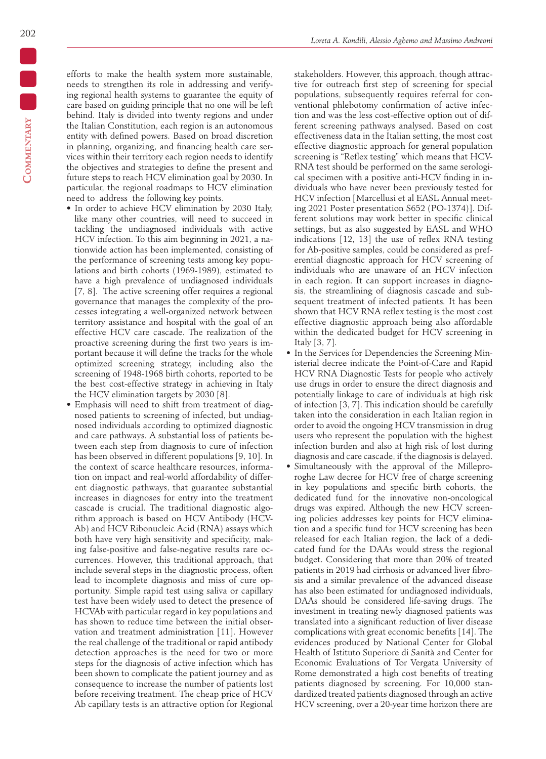efforts to make the health system more sustainable, needs to strengthen its role in addressing and verifying regional health systems to guarantee the equity of care based on guiding principle that no one will be left behind. Italy is divided into twenty regions and under the Italian Constitution, each region is an autonomous entity with defined powers. Based on broad discretion in planning, organizing, and financing health care services within their territory each region needs to identify the objectives and strategies to define the present and future steps to reach HCV elimination goal by 2030. In particular, the regional roadmaps to HCV elimination need to address the following key points.

- In order to achieve HCV elimination by 2030 Italy, like many other countries, will need to succeed in tackling the undiagnosed individuals with active HCV infection. To this aim beginning in 2021, a nationwide action has been implemented, consisting of the performance of screening tests among key populations and birth cohorts (1969-1989), estimated to have a high prevalence of undiagnosed individuals [7, 8]. The active screening offer requires a regional governance that manages the complexity of the processes integrating a well-organized network between territory assistance and hospital with the goal of an effective HCV care cascade. The realization of the proactive screening during the first two years is important because it will define the tracks for the whole optimized screening strategy, including also the screening of 1948-1968 birth cohorts, reported to be the best cost-effective strategy in achieving in Italy the HCV elimination targets by 2030 [8].
- Emphasis will need to shift from treatment of diagnosed patients to screening of infected, but undiagnosed individuals according to optimized diagnostic and care pathways. A substantial loss of patients between each step from diagnosis to cure of infection has been observed in different populations [9, 10]. In the context of scarce healthcare resources, information on impact and real-world affordability of different diagnostic pathways, that guarantee substantial increases in diagnoses for entry into the treatment cascade is crucial. The traditional diagnostic algorithm approach is based on HCV Antibody (HCV-Ab) and HCV Ribonucleic Acid (RNA) assays which both have very high sensitivity and specificity, making false-positive and false-negative results rare occurrences. However, this traditional approach, that include several steps in the diagnostic process, often lead to incomplete diagnosis and miss of cure opportunity. Simple rapid test using saliva or capillary test have been widely used to detect the presence of HCVAb with particular regard in key populations and has shown to reduce time between the initial observation and treatment administration [11]. However the real challenge of the traditional or rapid antibody detection approaches is the need for two or more steps for the diagnosis of active infection which has been shown to complicate the patient journey and as consequence to increase the number of patients lost before receiving treatment. The cheap price of HCV Ab capillary tests is an attractive option for Regional

stakeholders. However, this approach, though attractive for outreach first step of screening for special populations, subsequently requires referral for conventional phlebotomy confirmation of active infection and was the less cost-effective option out of different screening pathways analysed. Based on cost effectiveness data in the Italian setting, the most cost effective diagnostic approach for general population screening is "Reflex testing" which means that HCV-RNA test should be performed on the same serological specimen with a positive anti-HCV finding in individuals who have never been previously tested for HCV infection [Marcellusi et al EASL Annual meeting 2021 Poster presentation S652 (PO-1374)]. Different solutions may work better in specific clinical settings, but as also suggested by EASL and WHO indications [12, 13] the use of reflex RNA testing for Ab-positive samples, could be considered as preferential diagnostic approach for HCV screening of individuals who are unaware of an HCV infection in each region. It can support increases in diagnosis, the streamlining of diagnosis cascade and subsequent treatment of infected patients*.* It has been shown that HCV RNA reflex testing is the most cost effective diagnostic approach being also affordable within the dedicated budget for HCV screening in Italy [3, 7].

- In the Services for Dependencies the Screening Ministerial decree indicate the Point-of-Care and Rapid HCV RNA Diagnostic Tests for people who actively use drugs in order to ensure the direct diagnosis and potentially linkage to care of individuals at high risk of infection [3, 7]. This indication should be carefully taken into the consideration in each Italian region in order to avoid the ongoing HCV transmission in drug users who represent the population with the highest infection burden and also at high risk of lost during diagnosis and care cascade, if the diagnosis is delayed.
- Simultaneously with the approval of the Milleproroghe Law decree for HCV free of charge screening in key populations and specific birth cohorts, the dedicated fund for the innovative non-oncological drugs was expired. Although the new HCV screening policies addresses key points for HCV elimination and a specific fund for HCV screening has been released for each Italian region, the lack of a dedicated fund for the DAAs would stress the regional budget. Considering that more than 20% of treated patients in 2019 had cirrhosis or advanced liver fibrosis and a similar prevalence of the advanced disease has also been estimated for undiagnosed individuals, DAAs should be considered life-saving drugs. The investment in treating newly diagnosed patients was translated into a significant reduction of liver disease complications with great economic benefits [14]. The evidences produced by National Center for Global Health of Istituto Superiore di Sanità and Center for Economic Evaluations of Tor Vergata University of Rome demonstrated a high cost benefits of treating patients diagnosed by screening. For 10,000 standardized treated patients diagnosed through an active HCV screening, over a 20-year time horizon there are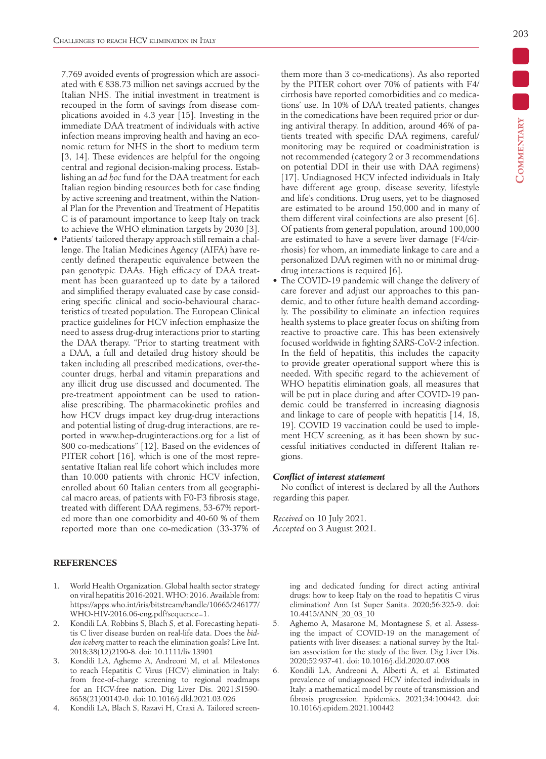7,769 avoided events of progression which are associated with  $\epsilon$  838.73 million net savings accrued by the Italian NHS. The initial investment in treatment is recouped in the form of savings from disease complications avoided in 4.3 year [15]. Investing in the immediate DAA treatment of individuals with active infection means improving health and having an economic return for NHS in the short to medium term [3, 14]. These evidences are helpful for the ongoing central and regional decision-making process. Establishing an *ad hoc* fund for the DAA treatment for each Italian region binding resources both for case finding by active screening and treatment, within the National Plan for the Prevention and Treatment of Hepatitis C is of paramount importance to keep Italy on track to achieve the WHO elimination targets by 2030 [3].

• Patients' tailored therapy approach still remain a challenge. The Italian Medicines Agency (AIFA) have recently defined therapeutic equivalence between the pan genotypic DAAs. High efficacy of DAA treatment has been guaranteed up to date by a tailored and simplified therapy evaluated case by case considering specific clinical and socio-behavioural characteristics of treated population. The European Clinical practice guidelines for HCV infection emphasize the need to assess drug-drug interactions prior to starting the DAA therapy. "Prior to starting treatment with a DAA, a full and detailed drug history should be taken including all prescribed medications, over-thecounter drugs, herbal and vitamin preparations and any illicit drug use discussed and documented. The pre-treatment appointment can be used to rationalise prescribing. The pharmacokinetic profiles and how HCV drugs impact key drug-drug interactions and potential listing of drug-drug interactions, are reported in www.hep-druginteractions.org for a list of 800 co-medications" [12]. Based on the evidences of PITER cohort [16], which is one of the most representative Italian real life cohort which includes more than 10.000 patients with chronic HCV infection, enrolled about 60 Italian centers from all geographical macro areas, of patients with F0-F3 fibrosis stage, treated with different DAA regimens, 53-67% reported more than one comorbidity and 40-60 % of them reported more than one co-medication (33-37% of

#### **REFERENCES**

- 1. World Health Organization. Global health sector strategy on viral hepatitis 2016-2021. WHO: 2016. Available from: https://apps.who.int/iris/bitstream/handle/10665/246177/ WHO-HIV-2016.06-eng.pdf?sequence=1.
- 2. Kondili LA, Robbins S, Blach S, et al. Forecasting hepatitis C liver disease burden on real-life data. Does the *hidden iceberg* matter to reach the elimination goals? Live Int. 2018;38(12)2190-8. doi: 10.1111/liv.13901
- 3. Kondili LA, Aghemo A, Andreoni M, et al. Milestones to reach Hepatitis C Virus (HCV) elimination in Italy: from free-of-charge screening to regional roadmaps for an HCV-free nation. Dig Liver Dis. 2021;S1590- 8658(21)00142-0. doi: 10.1016/j.dld.2021.03.026
- 4. Kondili LA, Blach S, Razavi H, Craxi A. Tailored screen-

**Commentary**

them more than 3 co-medications). As also reported by the PITER cohort over 70% of patients with F4/ cirrhosis have reported comorbidities and co medications' use. In 10% of DAA treated patients, changes in the comedications have been required prior or during antiviral therapy. In addition, around 46% of patients treated with specific DAA regimens, careful/ monitoring may be required or coadministration is not recommended (category 2 or 3 recommendations on potential DDI in their use with DAA regimens) [17]. Undiagnosed HCV infected individuals in Italy have different age group, disease severity, lifestyle and life's conditions. Drug users, yet to be diagnosed are estimated to be around 150,000 and in many of them different viral coinfections are also present [6]. Of patients from general population, around 100,000 are estimated to have a severe liver damage (F4/cirrhosis) for whom, an immediate linkage to care and a personalized DAA regimen with no or minimal drugdrug interactions is required [6].

The COVID-19 pandemic will change the delivery of care forever and adjust our approaches to this pandemic, and to other future health demand accordingly. The possibility to eliminate an infection requires health systems to place greater focus on shifting from reactive to proactive care. This has been extensively focused worldwide in fighting SARS-CoV-2 infection. In the field of hepatitis, this includes the capacity to provide greater operational support where this is needed. With specific regard to the achievement of WHO hepatitis elimination goals, all measures that will be put in place during and after COVID-19 pandemic could be transferred in increasing diagnosis and linkage to care of people with hepatitis [14, 18, 19]. COVID 19 vaccination could be used to implement HCV screening, as it has been shown by successful initiatives conducted in different Italian regions.

#### *Conflict of interest statement*

No conflict of interest is declared by all the Authors regarding this paper.

*Received* on 10 July 2021. *Accepted* on 3 August 2021.

> ing and dedicated funding for direct acting antiviral drugs: how to keep Italy on the road to hepatitis C virus elimination? Ann Ist Super Sanita. 2020;56:325-9. doi: 10.4415/ANN\_20\_03\_10

- 5. Aghemo A, Masarone M, Montagnese S, et al. Assessing the impact of COVID-19 on the management of patients with liver diseases: a national survey by the Italian association for the study of the liver. Dig Liver Dis. 2020;52:937-41. doi: 10.1016/j.dld.2020.07.008
- 6. Kondili LA, Andreoni A, Alberti A, et al. Estimated prevalence of undiagnosed HCV infected individuals in Italy: a mathematical model by route of transmission and fibrosis progression. Epidemics*.* 2021;34:100442. doi: 10.1016/j.epidem.2021.100442